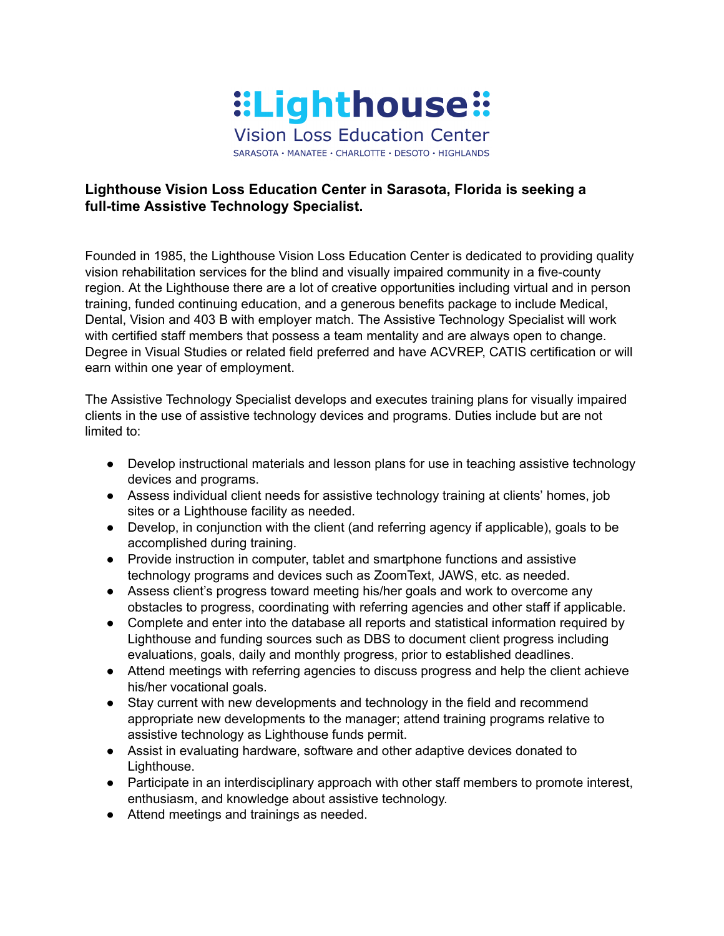

## **Lighthouse Vision Loss Education Center in Sarasota, Florida is seeking a full-time Assistive Technology Specialist.**

Founded in 1985, the Lighthouse Vision Loss Education Center is dedicated to providing quality vision rehabilitation services for the blind and visually impaired community in a five-county region. At the Lighthouse there are a lot of creative opportunities including virtual and in person training, funded continuing education, and a generous benefits package to include Medical, Dental, Vision and 403 B with employer match. The Assistive Technology Specialist will work with certified staff members that possess a team mentality and are always open to change. Degree in Visual Studies or related field preferred and have ACVREP, CATIS certification or will earn within one year of employment.

The Assistive Technology Specialist develops and executes training plans for visually impaired clients in the use of assistive technology devices and programs. Duties include but are not limited to:

- Develop instructional materials and lesson plans for use in teaching assistive technology devices and programs.
- *●* Assess individual client needs for assistive technology training at clients' homes, job sites or a Lighthouse facility as needed.
- *●* Develop, in conjunction with the client (and referring agency if applicable), goals to be accomplished during training.
- *●* Provide instruction in computer, tablet and smartphone functions and assistive technology programs and devices such as ZoomText, JAWS, etc. as needed.
- *●* Assess client's progress toward meeting his/her goals and work to overcome any obstacles to progress, coordinating with referring agencies and other staff if applicable.
- *●* Complete and enter into the database all reports and statistical information required by Lighthouse and funding sources such as DBS to document client progress including evaluations, goals, daily and monthly progress, prior to established deadlines.
- Attend meetings with referring agencies to discuss progress and help the client achieve his/her vocational goals.
- *●* Stay current with new developments and technology in the field and recommend appropriate new developments to the manager; attend training programs relative to assistive technology as Lighthouse funds permit.
- Assist in evaluating hardware, software and other adaptive devices donated to Lighthouse.
- *●* Participate in an interdisciplinary approach with other staff members to promote interest, enthusiasm, and knowledge about assistive technology.
- Attend meetings and trainings as needed.